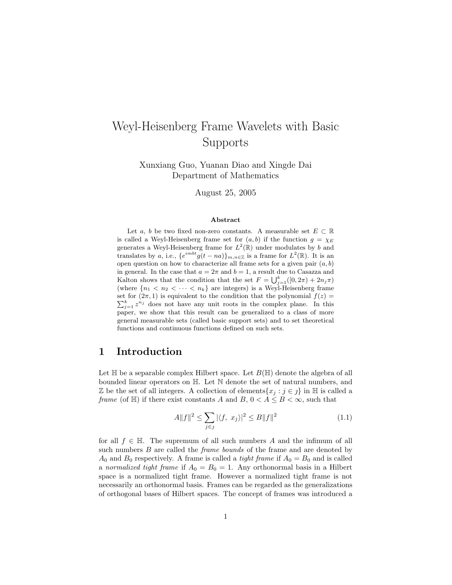# Weyl-Heisenberg Frame Wavelets with Basic Supports

Xunxiang Guo, Yuanan Diao and Xingde Dai Department of Mathematics

August 25, 2005

#### Abstract

Let a, b be two fixed non-zero constants. A measurable set  $E \subset \mathbb{R}$ is called a Weyl-Heisenberg frame set for  $(a, b)$  if the function  $g = \chi_E$ generates a Weyl-Heisenberg frame for  $L^2(\mathbb{R})$  under modulates by b and translates by a, i.e.,  $\{e^{imbt}g(t-na)\}_{m,n\in\mathbb{Z}}$  is a frame for  $L^2(\mathbb{R})$ . It is an open question on how to characterize all frame sets for a given pair  $(a, b)$ in general. In the case that  $a = 2\pi$  and  $b = 1$ , a result due to Casazza and In general. In the case that  $u = 2\pi$  and  $v = 1$ , a result due to Casazza and Kalton shows that the condition that the set  $F = \bigcup_{j=1}^{k} ([0, 2\pi) + 2n_j \pi)$ (where  ${n_1 < n_2 < \cdots < n_k}$  are integers) is a Weyl-Heisenberg frame set for  $(2\pi, 1)$  is equivalent to the condition that the polynomial  $f(z) = \sum_{k=1}^{k} f(z)$  $_{j=1}^{k} z^{n_j}$  does not have any unit roots in the complex plane. In this paper, we show that this result can be generalized to a class of more general measurable sets (called basic support sets) and to set theoretical functions and continuous functions defined on such sets.

### 1 Introduction

Let  $\mathbb H$  be a separable complex Hilbert space. Let  $B(\mathbb H)$  denote the algebra of all bounded linear operators on H. Let N denote the set of natural numbers, and Z be the set of all integers. A collection of elements $\{x_i : j \in j\}$  in H is called a frame (of H) if there exist constants A and B,  $0 < A \leq B < \infty$ , such that

$$
A||f||^2 \le \sum_{j \in \mathcal{J}} |\langle f, x_j \rangle|^2 \le B||f||^2 \tag{1.1}
$$

for all  $f \in \mathbb{H}$ . The supremum of all such numbers A and the infimum of all such numbers B are called the *frame bounds* of the frame and are denoted by  $A_0$  and  $B_0$  respectively. A frame is called a *tight frame* if  $A_0 = B_0$  and is called a normalized tight frame if  $A_0 = B_0 = 1$ . Any orthonormal basis in a Hilbert space is a normalized tight frame. However a normalized tight frame is not necessarily an orthonormal basis. Frames can be regarded as the generalizations of orthogonal bases of Hilbert spaces. The concept of frames was introduced a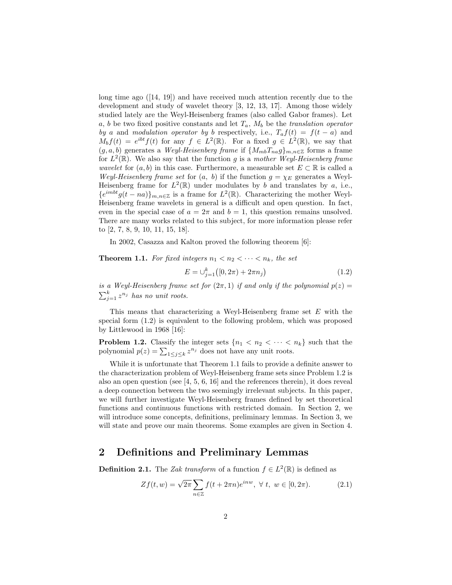long time ago ([14, 19]) and have received much attention recently due to the development and study of wavelet theory [3, 12, 13, 17]. Among those widely studied lately are the Weyl-Heisenberg frames (also called Gabor frames). Let a, b be two fixed positive constants and let  $T_a$ ,  $M_b$  be the translation operator by a and modulation operator by b respectively, i.e.,  $T_a f(t) = f(t-a)$  and  $M_b f(t) = e^{ibt} f(t)$  for any  $f \in L^2(\mathbb{R})$ . For a fixed  $g \in L^2(\mathbb{R})$ , we say that  $(g, a, b)$  generates a Weyl-Heisenberg frame if  ${M_{mb}}_{na}^{T}g_{mn} \in \mathbb{Z}$  forms a frame for  $L^2(\mathbb{R})$ . We also say that the function g is a mother Weyl-Heisenberg frame *wavelet* for  $(a, b)$  in this case. Furthermore, a measurable set  $E \subset \mathbb{R}$  is called a Weyl-Heisenberg frame set for  $(a, b)$  if the function  $g = \chi_E$  generates a Weyl-Heisenberg frame for  $L^2(\mathbb{R})$  under modulates by b and translates by a, i.e.,  ${e^{imbt}g(t-na)}_{m,n\in\mathbb{Z}}$  is a frame for  $L^2(\mathbb{R})$ . Characterizing the mother Weyl-Heisenberg frame wavelets in general is a difficult and open question. In fact, even in the special case of  $a = 2\pi$  and  $b = 1$ , this question remains unsolved. There are many works related to this subject, for more information please refer to [2, 7, 8, 9, 10, 11, 15, 18].

In 2002, Casazza and Kalton proved the following theorem [6]:

**Theorem 1.1.** For fixed integers  $n_1 < n_2 < \cdots < n_k$ , the set

$$
E = \bigcup_{j=1}^{k} \left( [0, 2\pi) + 2\pi n_j \right) \tag{1.2}
$$

is a Weyl-Heisenberg frame set for  $(2\pi, 1)$  if and only if the polynomial  $p(z) =$  $\sum_{j=1}^{k} z^{n_j}$  has no unit roots.

This means that characterizing a Weyl-Heisenberg frame set  $E$  with the special form (1.2) is equivalent to the following problem, which was proposed by Littlewood in 1968 [16]:

**Problem 1.2.** Classify the integer sets  $\{n_1 < n_2 < \cdots < n_k\}$  such that the **Problem 1.2.** Classify the integer sets  $\{n_1 \le n_2 \le \cdots \le n_n\}$  polynomial  $p(z) = \sum_{1 \le j \le k} z^{n_j}$  does not have any unit roots.

While it is unfortunate that Theorem 1.1 fails to provide a definite answer to the characterization problem of Weyl-Heisenberg frame sets since Problem 1.2 is also an open question (see [4, 5, 6, 16] and the references therein), it does reveal a deep connection between the two seemingly irrelevant subjects. In this paper, we will further investigate Weyl-Heisenberg frames defined by set theoretical functions and continuous functions with restricted domain. In Section 2, we will introduce some concepts, definitions, preliminary lemmas. In Section 3, we will state and prove our main theorems. Some examples are given in Section 4.

### 2 Definitions and Preliminary Lemmas

**Definition 2.1.** The Zak transform of a function  $f \in L^2(\mathbb{R})$  is defined as

$$
Zf(t, w) = \sqrt{2\pi} \sum_{n \in \mathbb{Z}} f(t + 2\pi n) e^{inw}, \ \forall \ t, \ w \in [0, 2\pi). \tag{2.1}
$$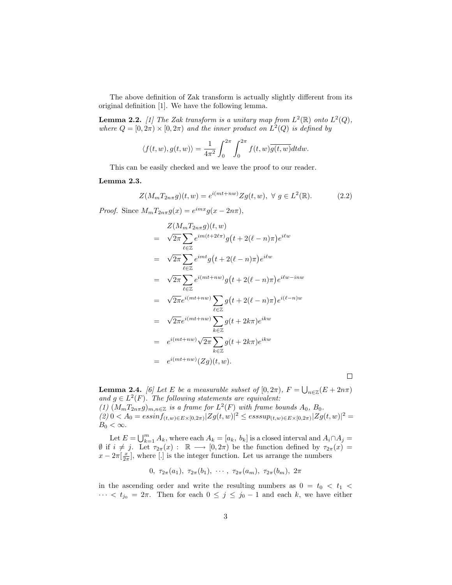The above definition of Zak transform is actually slightly different from its original definition [1]. We have the following lemma.

**Lemma 2.2.** [1] The Zak transform is a unitary map from  $L^2(\mathbb{R})$  onto  $L^2(Q)$ , where  $Q = [0, 2\pi) \times [0, 2\pi)$  and the inner product on  $L^2(Q)$  is defined by

$$
\langle f(t, w), g(t, w) \rangle = \frac{1}{4\pi^2} \int_0^{2\pi} \int_0^{2\pi} f(t, w) \overline{g(t, w)} dt dw.
$$

This can be easily checked and we leave the proof to our reader.

#### Lemma 2.3.

$$
Z(M_m T_{2n\pi}g)(t, w) = e^{i(mt + nw)} Zg(t, w), \ \forall \ g \in L^2(\mathbb{R}).
$$
 (2.2)

Proof. Since  $M_m T_{2n\pi} g(x) = e^{imx} g(x - 2n\pi),$ 

$$
Z(M_m T_{2n\pi}g)(t, w)
$$
\n
$$
= \sqrt{2\pi} \sum_{\ell \in \mathbb{Z}} e^{im(t + 2\ell\pi)} g(t + 2(\ell - n)\pi) e^{i\ell w}
$$
\n
$$
= \sqrt{2\pi} \sum_{\ell \in \mathbb{Z}} e^{imt} g(t + 2(\ell - n)\pi) e^{i\ell w}
$$
\n
$$
= \sqrt{2\pi} \sum_{\ell \in \mathbb{Z}} e^{i(mt + nw)} g(t + 2(\ell - n)\pi) e^{i\ell w - inw}
$$
\n
$$
= \sqrt{2\pi} e^{i(mt + nw)} \sum_{\ell \in \mathbb{Z}} g(t + 2(\ell - n)\pi) e^{i(\ell - n)w}
$$
\n
$$
= \sqrt{2\pi} e^{i(mt + nw)} \sum_{k \in \mathbb{Z}} g(t + 2k\pi) e^{ikw}
$$
\n
$$
= e^{i(mt + nw)} \sqrt{2\pi} \sum_{k \in \mathbb{Z}} g(t + 2k\pi) e^{ikw}
$$
\n
$$
= e^{i(mt + nw)} (Zg)(t, w).
$$

 $\Box$ 

**Lemma 2.4.** [6] Let E be a measurable subset of  $[0, 2\pi)$ ,  $F = \bigcup$  $n \in \mathbb{Z}}(E+2n\pi)$ and  $g \in L^2(F)$ . The following statements are equivalent: (1)  $(M_m T_{2n\pi} g)_{m,n\in\mathbb{Z}}$  is a frame for  $L^2(F)$  with frame bounds  $A_0$ ,  $B_0$ .  $(2) 0 < A_0 = \frac{e^{(2)}}{1 + e^{(2)}} \sum_{z} \frac{1}{z} \sum_{z} |g(z, w)|^2 \leq \frac{e^{(2)}}{1 + e^{(2)}} \sum_{z} \frac{1}{z} \sum_{z} |g(z, w)|^2 =$  $B_0 < \infty$ .

Let  $E = \bigcup_{k=1}^{m} A_k$ , where each  $A_k = [a_k, b_k]$  is a closed interval and  $A_i \cap A_j =$  $\emptyset$  if  $i \neq j$ . Let  $\tau_{2\pi}(x)$  :  $\mathbb{R} \longrightarrow [0, 2\pi)$  be the function defined by  $\tau_{2\pi}(x)$  =  $x - 2\pi \left[\frac{x}{2\pi}\right]$ , where [.] is the integer function. Let us arrange the numbers

0,  $\tau_{2\pi}(a_1), \tau_{2\pi}(b_1), \cdots, \tau_{2\pi}(a_m), \tau_{2\pi}(b_m), 2\pi$ 

in the ascending order and write the resulting numbers as  $0 = t_0 < t_1 <$  $\cdots < t_{j_0} = 2\pi$ . Then for each  $0 \leq j \leq j_0 - 1$  and each k, we have either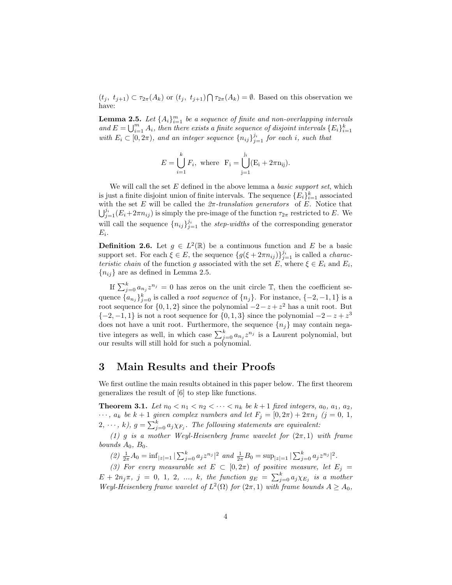$(t_j, t_{j+1}) \subset \tau_{2\pi}(A_k)$  or  $(t_j, t_{j+1}) \bigcap \tau_{2\pi}(A_k) = \emptyset$ . Based on this observation we have:

**Lemma 2.5.** Let  $\{A_i\}_{i=1}^m$  be a sequence of finite and non-overlapping intervals and  $E = \bigcup_{i=1}^{m} A_i$ , then there exists a finite sequence of disjoint intervals  $\{E_i\}_{i=1}^k$ with  $E_i \subset [0, 2\pi)$ , and an integer sequence  $\{n_{ij}\}_{j=1}^{j_i}$  for each i, such that

$$
E = \bigcup_{i=1}^{k} F_i
$$
, where  $F_i = \bigcup_{j=1}^{j_i} (E_i + 2\pi n_{ij}).$ 

We will call the set  $E$  defined in the above lemma a *basic support set*, which is just a finite disjoint union of finite intervals. The sequence  ${E_i}_{i=1}^k$  associated with the set E will be called the  $2\pi$ -translation generators of E. Notice that  $\mathbb{F}^{\mathcal{J}_i}$  (E + 2 $\pi$  ) is simply the pre-impres of the function  $\pi$ , portrigted to E. We  $\bigcup_{i=1}^{j_i} (E_i + 2\pi n_{ij})$  is simply the pre-image of the function  $\tau_{2\pi}$  restricted to E. We will call the sequence  $\{n_{ij}\}_{j=1}^{j_i}$  the step-widths of the corresponding generator  $E_i$ .

**Definition 2.6.** Let  $g \in L^2(\mathbb{R})$  be a continuous function and E be a basic support set. For each  $\xi \in E$ , the sequence  $\{g(\xi + 2\pi n_{ij})\}_{j=1}^{j_i}$  is called a *charac*teristic chain of the function g associated with the set E, where  $\xi \in E_i$  and  $E_i$ ,  ${n_{ij}}$  are as defined in Lemma 2.5.

If  $\sum_{j=0}^{k} a_{n_j} z^{n_j} = 0$  has zeros on the unit circle  $\mathbb{T}$ , then the coefficient sequence  ${a_{n_j}}_{j=0}^k$  is called a *root sequence* of  ${n_j}$ . For instance,  ${-2, -1, 1}$  is a root sequence for  $\{0, 1, 2\}$  since the polynomial  $-2 - z + z^2$  has a unit root. But  $\{-2,-1,1\}$  is not a root sequence for  $\{0,1,3\}$  since the polynomial  $-2 - z + z^3$ does not have a unit root. Furthermore, the sequence  ${n<sub>j</sub>}$  may contain negative integers as well, in which case  $\sum_{j=0}^{k} a_{n_j} z^{n_j}$  is a Laurent polynomial, but our results will still hold for such a polynomial.

### 3 Main Results and their Proofs

We first outline the main results obtained in this paper below. The first theorem generalizes the result of [6] to step like functions.

**Theorem 3.1.** Let  $n_0 < n_1 < n_2 < \cdots < n_k$  be  $k+1$  fixed integers,  $a_0, a_1, a_2$ ,  $\cdots$ ,  $a_k$  be  $k+1$  given complex numbers and let  $F_j = [0, 2\pi) + 2\pi n_j$  (j = 0, 1,  $(2, \dots, k), g = \sum_{j=0}^{k} a_j \chi_{F_j}$ . The following statements are equivalent:

(1) g is a mother Weyl-Heisenberg frame wavelet for  $(2\pi, 1)$  with frame bounds  $A_0$ ,  $B_0$ .

(2)  $\frac{1}{2\pi}A_0 = \inf_{|z|=1} |\sum_{j=0}^k a_j z^{n_j}|^2$  and  $\frac{1}{2\pi}B_0 = \sup_{|z|=1} |\sum_{j=0}^k a_j z^{n_j}|^2$ .

(3) For every measurable set  $E \subset [0, 2\pi)$  of positive measure, let  $E_j =$ (b) For each y measurable set  $E \subseteq [0, 2\pi)$  by positive measure, let  $E_j = E + 2n_j\pi$ ,  $j = 0, 1, 2, ..., k$ , the function  $g_E = \sum_{j=0}^k a_j \chi_{E_j}$  is a mother Weyl-Heisenberg frame wavelet of  $L^2(\Omega)$  for  $(2\pi,1)$  with frame bounds  $A \geq A_0$ ,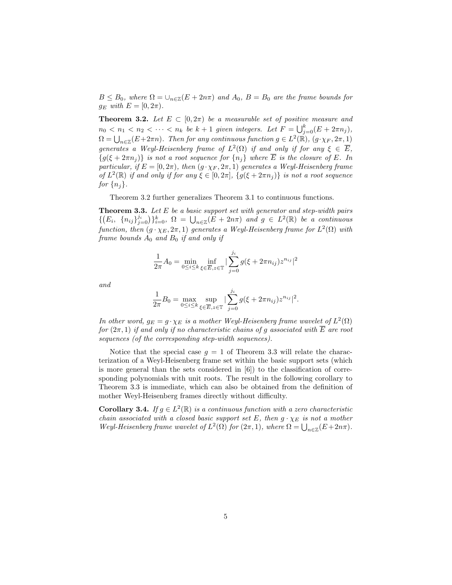$B \leq B_0$ , where  $\Omega = \bigcup_{n \in \mathbb{Z}} (E + 2n\pi)$  and  $A_0$ ,  $B = B_0$  are the frame bounds for  $g_E$  with  $E = [0, 2\pi)$ .

**Theorem 3.2.** Let  $E \subset [0, 2\pi)$  be a measurable set of positive measure and  $n_0 < n_1 < n_2 < \cdots < n_k$  be  $k + 1$  given integers. Let  $F = \bigcup_{j=0}^k (E + 2\pi n_j)$ ,  $\Omega = \bigcup_{n \in \mathbb{Z}} (E + 2\pi n)$ . Then for any continuous function  $g \in L^2(\mathbb{R})$ ,  $(g \cdot \chi_F, 2\pi, 1)$ generates a Weyl-Heisenberg frame of  $L^2(\Omega)$  if and only if for any  $\xi \in \overline{E}$ ,  ${g(\xi+2\pi n_j)}$  is not a root sequence for  ${n_i}$  where  $\overline{E}$  is the closure of E. In particular, if  $E = [0, 2\pi)$ , then  $(g \cdot \chi_F, 2\pi, 1)$  generates a Weyl-Heisenberg frame of  $L^2(\mathbb{R})$  if and only if for any  $\xi \in [0, 2\pi]$ ,  $\{g(\xi + 2\pi n_j)\}\$ is not a root sequence for  $\{n_i\}$ .

Theorem 3.2 further generalizes Theorem 3.1 to continuous functions.

**Theorem 3.3.** Let E be a basic support set with generator and step-width pairs **Theorem 3.3.** Let E be a basic support set with generator and step-width pairs  $\{ (E_i, \{n_{ij}\}_{j=0}^j) \}_{k=0}^k, \Omega = \bigcup_{n \in \mathbb{Z}} (E + 2n\pi)$  and  $g \in L^2(\mathbb{R})$  be a continuous function, then  $(g \cdot \chi_E, 2\pi, 1)$  generates a Weyl-Heisenberg frame for  $L^2(\Omega)$  with frame bounds  $A_0$  and  $B_0$  if and only if

$$
\frac{1}{2\pi}A_0 = \min_{0 \le i \le k} \inf_{\xi \in \overline{E}, z \in \mathbb{T}} |\sum_{j=0}^{j_i} g(\xi + 2\pi n_{ij}) z^{n_{ij}}|^2
$$

and

$$
\frac{1}{2\pi}B_0 = \max_{0 \le i \le k} \sup_{\xi \in \overline{E}, z \in \mathbb{T}} |\sum_{j=0}^{j_i} g(\xi + 2\pi n_{ij}) z^{n_{ij}}|^2.
$$

In other word,  $g_E = g \cdot \chi_E$  is a mother Weyl-Heisenberg frame wavelet of  $L^2(\Omega)$ for  $(2\pi, 1)$  if and only if no characteristic chains of g associated with  $\overline{E}$  are root sequences (of the corresponding step-width sequences).

Notice that the special case  $g = 1$  of Theorem 3.3 will relate the characterization of a Weyl-Heisenberg frame set within the basic support sets (which is more general than the sets considered in [6]) to the classification of corresponding polynomials with unit roots. The result in the following corollary to Theorem 3.3 is immediate, which can also be obtained from the definition of mother Weyl-Heisenberg frames directly without difficulty.

**Corollary 3.4.** If  $g \in L^2(\mathbb{R})$  is a continuous function with a zero characteristic chain associated with a closed basic support set E, then  $g \cdot \chi_E$  is not a mother chain associated with a closed basic support set E, then  $g \cdot \chi_E$  is not a mother  $Weyl$ -Heisenberg frame wavelet of  $L^2(\Omega)$  for  $(2\pi,1)$ , where  $\Omega = \bigcup_{n\in\mathbb{Z}}(E+2n\pi)$ .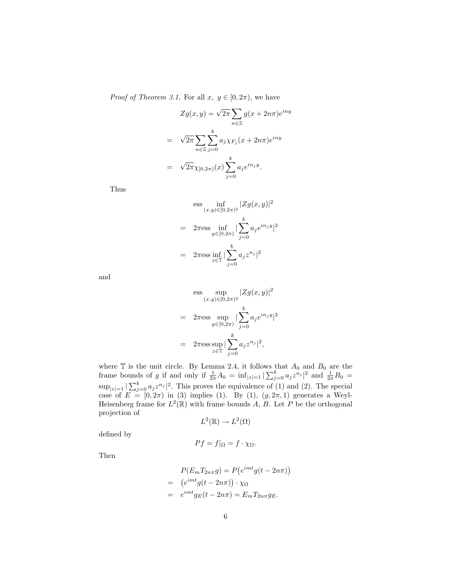*Proof of Theorem 3.1.* For all  $x, y \in [0, 2\pi)$ , we have

$$
Zg(x,y) = \sqrt{2\pi} \sum_{n \in \mathbb{Z}} g(x + 2n\pi) e^{iny}
$$

$$
= \sqrt{2\pi} \sum_{n \in \mathbb{Z}} \sum_{j=0}^{k} a_j \chi_{F_j}(x + 2n\pi) e^{iny}
$$

$$
= \sqrt{2\pi} \chi_{[0,2\pi)}(x) \sum_{j=0}^{k} a_j e^{in_j y}.
$$

Thus

$$
\begin{aligned}\n\text{ess} \inf_{(x,y)\in[0,2\pi)^2} |Zg(x,y)|^2 \\
= 2\pi \text{ess} \inf_{y\in[0,2\pi)} |\sum_{j=0}^k a_j e^{i n_j y}|^2 \\
= 2\pi \text{ess} \inf_{z\in\mathbb{T}} |\sum_{j=0}^k a_j z^{n_j}|^2\n\end{aligned}
$$

and

$$
\begin{aligned}\n\text{ess} \quad & \sup_{(x,y)\in[0,2\pi)^2} |Zg(x,y)|^2 \\
&= 2\pi \text{ess} \sup_{y\in[0,2\pi)} |\sum_{j=0}^k a_j e^{in_j y}|^2 \\
&= 2\pi \text{ess} \sup_{z\in\mathbb{T}} |\sum_{j=0}^k a_j z^{n_j}|^2,\n\end{aligned}
$$

where  $\mathbb T$  is the unit circle. By Lemma 2.4, it follows that  $A_0$  and  $B_0$  are the where  $\perp$  is the unit circle. By Lemma 2.4, it follows that  $A_0$  and  $B_0$  are the frame bounds of g if and only if  $\frac{1}{2\pi}A_0 = \inf_{|z|=1} |\sum_{j=0}^{k} a_j z^{n_j}|^2$  and  $\frac{1}{2\pi}B_0 =$  $\sup_{|z|=1} |\sum_{j=0}^k a_j z^{n_j}|^2$ . This proves the equivalence of (1) and (2). The special case of  $E = [0, 2\pi)$  in (3) implies (1). By (1),  $(g, 2\pi, 1)$  generates a Weyl-Heisenberg frame for  $L^2(\mathbb{R})$  with frame bounds A, B. Let P be the orthogonal projection of

$$
L^2(\mathbb{R}) \to L^2(\Omega)
$$

defined by

$$
Pf = f|_{\Omega} = f \cdot \chi_{\Omega}.
$$

Then

$$
P(E_m T_{2n\pi} g) = P(e^{imt} g(t - 2n\pi))
$$
  
=  $(e^{imt} g(t - 2n\pi)) \cdot \chi_{\Omega}$   
=  $e^{imt} g_E(t - 2n\pi) = E_m T_{2n\pi} g_E.$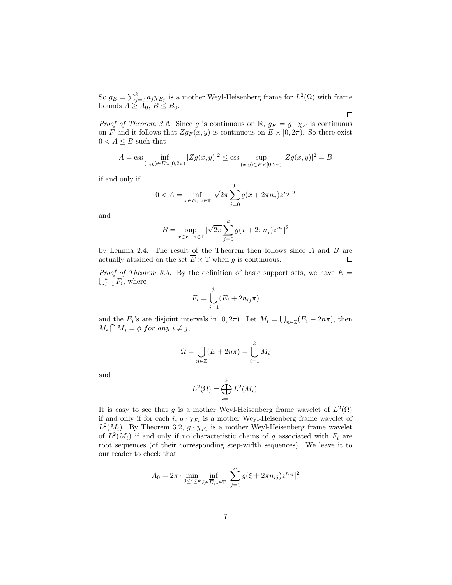So  $g_E = \sum_{j=0}^k a_j \chi_{E_j}$  is a mother Weyl-Heisenberg frame for  $L^2(\Omega)$  with frame bounds  $A \geq A_0, B \leq B_0$ .

 $\Box$ 

*Proof of Theorem 3.2.* Since g is continuous on  $\mathbb{R}$ ,  $g_F = g \cdot \chi_F$  is continuous on F and it follows that  $Zg_F(x, y)$  is continuous on  $E \times [0, 2\pi)$ . So there exist  $0 < A \leq B$  such that

$$
A = \text{ess} \inf_{(x,y)\in E\times[0,2\pi)} |Zg(x,y)|^2 \le \text{ess} \sup_{(x,y)\in E\times[0,2\pi)} |Zg(x,y)|^2 = B
$$

if and only if

$$
0 < A = \inf_{x \in E, \ z \in \mathbb{T}} |\sqrt{2\pi} \sum_{j=0}^{k} g(x + 2\pi n_j) z^{n_j}|^2
$$

and

$$
B = \sup_{x \in E, \ z \in \mathbb{T}} |\sqrt{2\pi} \sum_{j=0}^{k} g(x + 2\pi n_j) z^{n_j}|^2
$$

by Lemma 2.4. The result of the Theorem then follows since  $A$  and  $B$  are actually attained on the set  $\overline{E} \times \mathbb{T}$  when g is continuous.  $\Box$ 

*Proof of Theorem 3.3.* By the definition of basic support sets, we have  $E =$  $\sum_{i=1}^{\kappa} F_i$ , where

$$
F_i = \bigcup_{j=1}^{j_i} (E_i + 2n_{ij}\pi)
$$

and the  $E_i$ 's are disjoint intervals in  $[0, 2\pi)$ . Let  $M_i = \bigcup$ l the  $E_i$ 's are disjoint intervals in  $[0, 2\pi)$ . Let  $M_i = \bigcup_{n \in \mathbb{Z}} (E_i + 2n\pi)$ , then  $M_i \bigcap M_j = \phi$  for any  $i \neq j$ ,

$$
\Omega = \bigcup_{n \in \mathbb{Z}} (E + 2n\pi) = \bigcup_{i=1}^{k} M_i
$$

and

$$
L^2(\Omega) = \bigoplus_{i=1}^k L^2(M_i).
$$

It is easy to see that g is a mother Weyl-Heisenberg frame wavelet of  $L^2(\Omega)$ if and only if for each  $i, g \cdot \chi_{F_i}$  is a mother Weyl-Heisenberg frame wavelet of  $L^2(M_i)$ . By Theorem 3.2,  $g \cdot \chi_{F_i}$  is a mother Weyl-Heisenberg frame wavelet of  $L^2(M_i)$  if and only if no characteristic chains of g associated with  $\overline{F_i}$  are root sequences (of their corresponding step-width sequences). We leave it to our reader to check that

$$
A_0=2\pi\cdot\min_{0\leq i\leq k}\inf_{\xi\in\overline{E},z\in\mathbb{T}}|\sum_{j=0}^{j_i}g(\xi+2\pi n_{ij})z^{n_{ij}}|^2
$$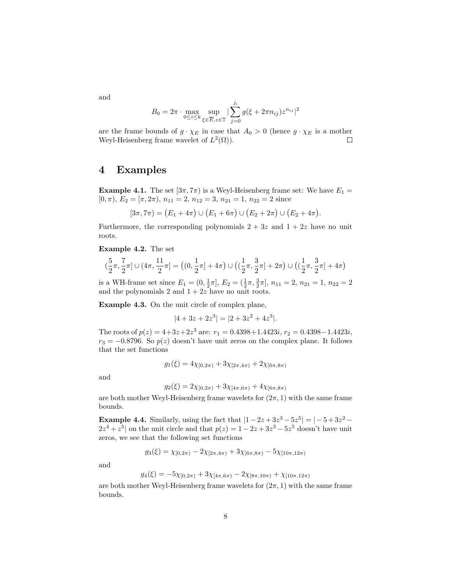$$
B_0 = 2\pi \cdot \max_{0 \le i \le k} \sup_{\xi \in \overline{E}, z \in \mathbb{T}} |\sum_{j=0}^{j_i} g(\xi + 2\pi n_{ij}) z^{n_{ij}}|^2
$$

are the frame bounds of  $g \cdot \chi_E$  in case that  $A_0 > 0$  (hence  $g \cdot \chi_E$  is a mother Weyl-Heisenberg frame wavelet of  $L^2(\Omega)$ .  $\Box$ 

### 4 Examples

**Example 4.1.** The set  $[3\pi, 7\pi)$  is a Weyl-Heisenberg frame set: We have  $E_1 =$ [0,  $\pi$ ],  $E_2 = [\pi, 2\pi), n_{11} = 2, n_{12} = 3, n_{21} = 1, n_{22} = 2$  since

$$
[3\pi, 7\pi) = (E_1 + 4\pi) \cup (E_1 + 6\pi) \cup (E_2 + 2\pi) \cup (E_2 + 4\pi).
$$

Furthermore, the corresponding polynomials  $2 + 3z$  and  $1 + 2z$  have no unit roots.

Example 4.2. The set

$$
(\frac{5}{2}\pi,\frac{7}{2}\pi]\cup(4\pi,\frac{11}{2}\pi]=\big((0,\frac{1}{2}\pi]+4\pi\big)\cup\big((\frac{1}{2}\pi,\frac{3}{2}\pi]+2\pi\big)\cup\big((\frac{1}{2}\pi,\frac{3}{2}\pi]+4\pi\big)
$$

is a WH-frame set since  $E_1 = (0, \frac{1}{2}\pi], E_2 = (\frac{1}{2}\pi, \frac{3}{2}\pi], n_{11} = 2, n_{21} = 1, n_{22} = 2$ and the polynomials 2 and  $1 + 2z$  have no unit roots.

Example 4.3. On the unit circle of complex plane,

$$
|4 + 3z + 2z^3| = |2 + 3z^2 + 4z^3|.
$$

The roots of  $p(z) = 4+3z+2z^3$  are:  $r_1 = 0.4398+1.4423i$ ,  $r_2 = 0.4398-1.4423i$ ,  $r_3 = -0.8796$ . So  $p(z)$  doesn't have unit zeros on the complex plane. It follows that the set functions

$$
g_1(\xi) = 4\chi_{[0,2\pi)} + 3\chi_{[2\pi,4\pi)} + 2\chi_{[6\pi,8\pi)}
$$

and

$$
g_2(\xi) = 2\chi_{[0,2\pi)} + 3\chi_{[4\pi,6\pi)} + 4\chi_{[6\pi,8\pi)}
$$

are both mother Weyl-Heisenberg frame wavelets for  $(2\pi, 1)$  with the same frame bounds.

**Example 4.4.** Similarly, using the fact that  $|1-2z+3z^3-5z^5|= |-5+3z^2 2z^4 + z^5$  on the unit circle and that  $p(z) = 1 - 2z + 3z^3 - 5z^5$  doesn't have unit zeros, we see that the following set functions

$$
g_3(\xi) = \chi_{[0,2\pi)} - 2\chi_{[2\pi,4\pi)} + 3\chi_{[6\pi,8\pi)} - 5\chi_{[10\pi,12\pi)}
$$

and

$$
g_4(\xi) = -5\chi_{[0,2\pi)} + 3\chi_{[4\pi,6\pi)} - 2\chi_{[8\pi,10\pi)} + \chi_{[10\pi,12\pi)}
$$

are both mother Weyl-Heisenberg frame wavelets for  $(2\pi, 1)$  with the same frame bounds.

and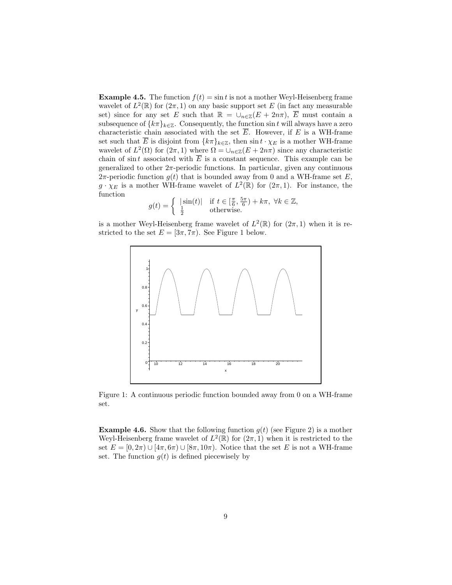**Example 4.5.** The function  $f(t) = \sin t$  is not a mother Weyl-Heisenberg frame wavelet of  $L^2(\mathbb{R})$  for  $(2\pi, 1)$  on any basic support set E (in fact any measurable set) since for any set E such that  $\mathbb{R} = \bigcup_{n \in \mathbb{Z}} (E + 2n\pi), \overline{E}$  must contain a subsequence of  $\{k\pi\}_{k\in\mathbb{Z}}$ . Consequently, the function sin t will always have a zero characteristic chain associated with the set  $\overline{E}$ . However, if E is a WH-frame set such that  $\overline{E}$  is disjoint from  $\{k\pi\}_{k\in\mathbb{Z}}$ , then  $\sin t \cdot \chi_E$  is a mother WH-frame wavelet of  $L^2(\Omega)$  for  $(2\pi,1)$  where  $\Omega = \bigcup_{n\in\mathbb{Z}} (E+2n\pi)$  since any characteristic chain of sin t associated with  $\overline{E}$  is a constant sequence. This example can be generalized to other  $2\pi$ -periodic functions. In particular, given any continuous 2π-periodic function  $g(t)$  that is bounded away from 0 and a WH-frame set E,  $g \cdot \chi_E$  is a mother WH-frame wavelet of  $L^2(\mathbb{R})$  for  $(2\pi, 1)$ . For instance, the function

$$
g(t) = \begin{cases} |\sin(t)| & \text{if } t \in \left[\frac{\pi}{6}, \frac{5\pi}{6}\right) + k\pi, \ \forall k \in \mathbb{Z}, \\ \frac{1}{2} & \text{otherwise.} \end{cases}
$$

is a mother Weyl-Heisenberg frame wavelet of  $L^2(\mathbb{R})$  for  $(2\pi, 1)$  when it is restricted to the set  $E = [3\pi, 7\pi)$ . See Figure 1 below.



Figure 1: A continuous periodic function bounded away from 0 on a WH-frame set.

**Example 4.6.** Show that the following function  $g(t)$  (see Figure 2) is a mother Weyl-Heisenberg frame wavelet of  $L^2(\mathbb{R})$  for  $(2\pi, 1)$  when it is restricted to the set  $E = [0, 2\pi) \cup [4\pi, 6\pi) \cup [8\pi, 10\pi)$ . Notice that the set E is not a WH-frame set. The function  $q(t)$  is defined piecewisely by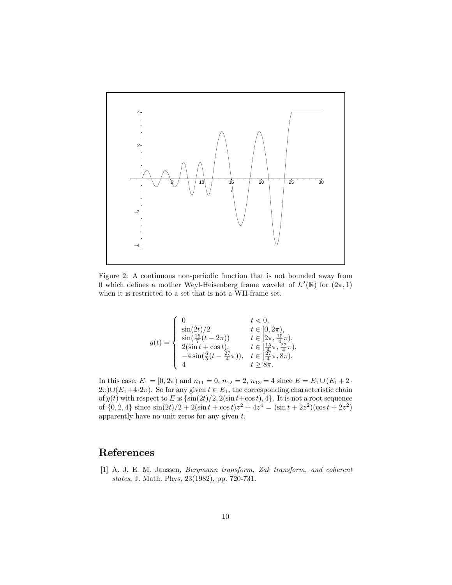

Figure 2: A continuous non-periodic function that is not bounded away from 0 which defines a mother Weyl-Heisenberg frame wavelet of  $L^2(\mathbb{R})$  for  $(2\pi, 1)$ when it is restricted to a set that is not a WH-frame set.

$$
g(t) = \begin{cases} 0 & t < 0, \\ \sin(2t)/2 & t \in [0, 2\pi), \\ \sin(\frac{16}{7}(t - 2\pi)) & t \in [2\pi, \frac{15}{4}\pi), \\ 2(\sin t + \cos t), & t \in [\frac{15}{4}\pi, \frac{27}{4}\pi), \\ -4\sin(\frac{6}{5}(t - \frac{27}{4}\pi)), & t \in [\frac{27}{4}\pi, 8\pi), \\ 4 & t \geq 8\pi. \end{cases}
$$

In this case,  $E_1 = [0, 2\pi)$  and  $n_{11} = 0$ ,  $n_{12} = 2$ ,  $n_{13} = 4$  since  $E = E_1 \cup (E_1 + 2 \cdot$  $2\pi$ )∪( $E_1+4\cdot 2\pi$ ). So for any given  $t \in E_1$ , the corresponding characteristic chain of  $g(t)$  with respect to E is  $\{\sin(2t)/2, 2(\sin t + \cos t), 4\}$ . It is not a root sequence of  $\{0, 2, 4\}$  since  $\sin(2t)/2 + 2(\sin t + \cos t)z^2 + 4z^4 = (\sin t + 2z^2)(\cos t + 2z^2)$ apparently have no unit zeros for any given t.

## References

[1] A. J. E. M. Janssen, Bergmann transform, Zak transform, and coherent states, J. Math. Phys, 23(1982), pp. 720-731.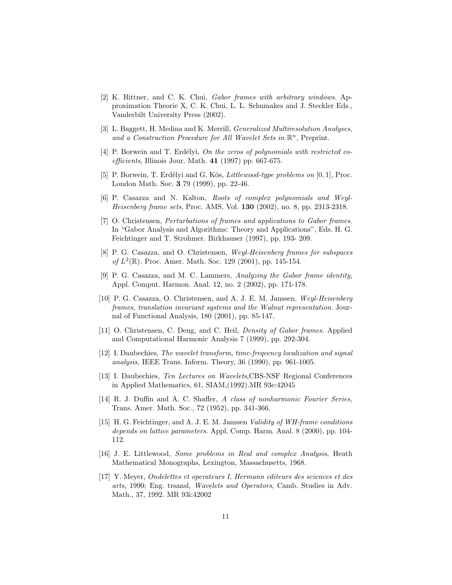- [2] K. Bittner, and C. K. Chui, Gabor frames with arbitrary windows. Approximation Theorie X, C. K. Chui, L. L. Schumakes and J. Steckler Eds., Vanderbilt University Press (2002).
- [3] L. Baggett, H. Medina and K. Merrill, Generalized Multiresolution Analyses, and a Construction Procedure for All Wavelet Sets in  $\mathbb{R}^n$ , Preprint.
- [4] P. Borwein and T. Erdélyi, On the zeros of polynomials with restricted coefficients, Illinois Jour. Math.  $41$  (1997) pp. 667-675.
- [5] P. Borwein, T. Erdélyi and G. Kós, *Littlewood-type problems on*  $[0, 1]$ , Proc. London Math. Soc. 3 79 (1999), pp. 22-46.
- [6] P. Casazza and N. Kalton, Roots of complex polynomials and Weyl-Heisenberg frame sets, Proc. AMS, Vol. 130 (2002), no. 8, pp. 2313-2318.
- [7] O. Christensen, Perturbations of frames and applications to Gabor frames. In "Gabor Analysis and Algorithms: Theory and Applications", Eds. H. G. Feichtinger and T. Strohmer. Birkhauser (1997), pp. 193- 209.
- [8] P. G. Casazza, and O. Christensen, Weyl-Heisenberg frames for subspaces of  $L^2(\mathbb{R})$ . Proc. Amer. Math. Soc. 129 (2001), pp. 145-154.
- [9] P. G. Casazza, and M. C. Lammers, Analyzing the Gabor frame identity, Appl. Comput. Harmon. Anal. 12, no. 2 (2002), pp. 171-178.
- [10] P. G. Casazza, O. Christensen, and A. J. E. M. Janssen, Weyl-Heisenberg frames, translation invariant systems and the Walnut representation. Journal of Functional Analysis, 180 (2001), pp. 85-147.
- [11] O. Christensen, C. Deng, and C. Heil, Density of Gabor frames. Applied and Computational Harmonic Analysis 7 (1999), pp. 292-304.
- [12] I. Daubechies, The wavelet transform, time-frequency localization and signal analysis, IEEE Trans. Inform. Theory, 36 (1990), pp. 961-1005.
- [13] I. Daubechies, Ten Lectures on Wavelets,CBS-NSF Regional Conferences in Applied Mathematics, 61, SIAM,(1992).MR 93e:42045
- [14] R. J. Duffin and A. C. Shaffer, A class of nonharmonic Fourier Series, Trans. Amer. Math. Soc., 72 (1952), pp. 341-366.
- [15] H. G. Feichtinger, and A. J. E. M. Janssen Validity of WH-frame conditions depends on lattice parameters. Appl. Comp. Harm. Anal. 8 (2000), pp. 104- 112.
- [16] J. E. Littlewood, Some problems in Real and complex Analysis, Heath Mathematical Monographs, Lexington, Massachusetts, 1968.
- [17] Y. Meyer, Ondelettes et operateurs I, Hermann editeurs des sciences et des arts, 1990; Eng. trsansl, Wavelets and Operators, Camb. Studies in Adv. Math., 37, 1992. MR 93i:42002